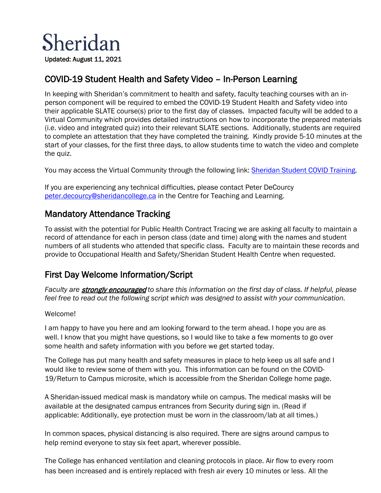

## COVID-19 Student Health and Safety Video – In-Person Learning

In keeping with Sheridan's commitment to health and safety, faculty teaching courses with an inperson component will be required to embed the COVID-19 Student Health and Safety video into their applicable SLATE course(s) prior to the first day of classes. Impacted faculty will be added to a Virtual Community which provides detailed instructions on how to incorporate the prepared materials (i.e. video and integrated quiz) into their relevant SLATE sections. Additionally, students are required to complete an attestation that they have completed the training. Kindly provide 5-10 minutes at the start of your classes, for the first three days, to allow students time to watch the video and complete the quiz.

You may access the Virtual Community through the following link: [Sheridan Student COVID Training.](https://slate.sheridancollege.ca/d2l/home/731704)

If you are experiencing any technical difficulties, please contact Peter DeCourcy [peter.decourcy@sheridancollege.ca](mailto:peter.decourcy@sheridancollege.ca) in the Centre for Teaching and Learning.

## Mandatory Attendance Tracking

To assist with the potential for Public Health Contract Tracing we are asking all faculty to maintain a record of attendance for each in person class (date and time) along with the names and student numbers of all students who attended that specific class. Faculty are to maintain these records and provide to Occupational Health and Safety/Sheridan Student Health Centre when requested.

## First Day Welcome Information/Script

*Faculty are* strongly encouraged *to share this information on the first day of class. If helpful, please feel free to read out the following script which was designed to assist with your communication.*

#### Welcome!

I am happy to have you here and am looking forward to the term ahead. I hope you are as well. I know that you might have questions, so I would like to take a few moments to go over some health and safety information with you before we get started today.

The College has put many health and safety measures in place to help keep us all safe and I would like to review some of them with you. This information can be found on the COVID-19/Return to Campus microsite, which is accessible from the Sheridan College home page.

A Sheridan-issued medical mask is mandatory while on campus. The medical masks will be available at the [designated campus](https://www.sheridancollege.ca/covid-19) entrances from Security during sign in. (Read if applicable: Additionally, eye protection must be worn in the classroom/lab at all times.)

In common spaces, physical distancing is also required. There are signs around campus to help remind everyone to stay six feet apart, wherever possible.

The College has enhanced ventilation and cleaning protocols in place. Air flow to every room has been increased and is entirely replaced with fresh air every 10 minutes or less. All the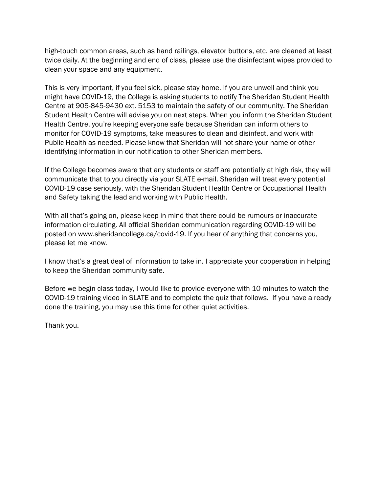high-touch common areas, such as hand railings, elevator buttons, etc. are cleaned at least twice daily. At the beginning and end of class, please use the disinfectant wipes provided to clean your space and any equipment.

This is very important, if you feel sick, please stay home. If you are unwell and think you might have COVID-19, the College is asking students to notify The Sheridan Student Health Centre at 905-845-9430 ext. 5153 to maintain the safety of our community. The Sheridan Student Health Centre will advise you on next steps. When you inform the Sheridan Student Health Centre, you're keeping everyone safe because Sheridan can inform others to monitor for COVID-19 symptoms, take measures to clean and disinfect, and work with Public Health as needed. Please know that Sheridan will not share your name or other identifying information in our notification to other Sheridan members.

If the College becomes aware that any students or staff are potentially at high risk, they will communicate that to you directly via your SLATE e-mail. Sheridan will treat every potential COVID-19 case seriously, with the Sheridan Student Health Centre or Occupational Health and Safety taking the lead and working with Public Health.

With all that's going on, please keep in mind that there could be rumours or inaccurate information circulating. All official Sheridan communication regarding COVID-19 will be posted on www.sheridancollege.ca/covid-19. If you hear of anything that concerns you, please let me know.

I know that's a great deal of information to take in. I appreciate your cooperation in helping to keep the Sheridan community safe.

Before we begin class today, I would like to provide everyone with 10 minutes to watch the COVID-19 training video in SLATE and to complete the quiz that follows. If you have already done the training, you may use this time for other quiet activities.

Thank you.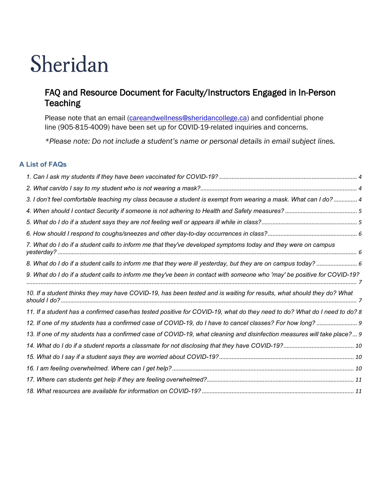# ⇂  $\overline{a}$

## FAQ and Resource Document for Faculty/Instructors Engaged in In-Person **Teaching**

Please note that an email [\(careandwellness@sheridancollege.ca\)](mailto:careandwellness@sheridancollege.ca) and confidential phone line (905-815-4009) have been set up for COVID-19-related inquiries and concerns.

*\*Please note: Do not include a student's name or personal details in email subject lines.*

#### **A List of FAQs**

| 3. I don't feel comfortable teaching my class because a student is exempt from wearing a mask. What can I do?  4         |  |
|--------------------------------------------------------------------------------------------------------------------------|--|
|                                                                                                                          |  |
|                                                                                                                          |  |
|                                                                                                                          |  |
| 7. What do I do if a student calls to inform me that they've developed symptoms today and they were on campus            |  |
| 8. What do I do if a student calls to inform me that they were ill yesterday, but they are on campus today?  6           |  |
| 9. What do I do if a student calls to inform me they've been in contact with someone who 'may' be positive for COVID-19? |  |
| 10. If a student thinks they may have COVID-19, has been tested and is waiting for results, what should they do? What    |  |
| 11. If a student has a confirmed case/has tested positive for COVID-19, what do they need to do? What do I need to do? 8 |  |
| 12. If one of my students has a confirmed case of COVID-19, do I have to cancel classes? For how long?                   |  |
| 13. If one of my students has a confirmed case of COVID-19, what cleaning and disinfection measures will take place? 9   |  |
|                                                                                                                          |  |
|                                                                                                                          |  |
|                                                                                                                          |  |
|                                                                                                                          |  |
|                                                                                                                          |  |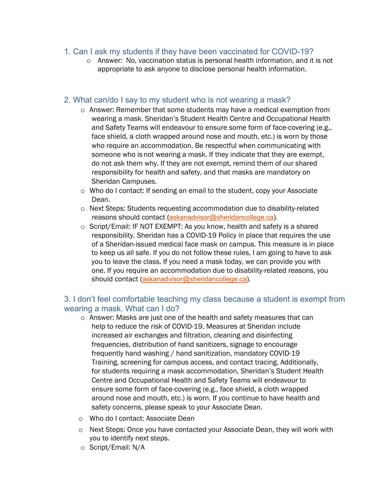#### <span id="page-3-0"></span>1. Can I ask my students if they have been vaccinated for COVID-19?

o Answer: No, vaccination status is personal health information, and it is not appropriate to ask anyone to disclose personal health information.

#### <span id="page-3-1"></span>2. What can/do I say to my student who is not wearing a mask?

- o Answer: Remember that some students may have a medical exemption from wearing a mask. Sheridan's Student Health Centre and Occupational Health and Safety Teams will endeavour to ensure some form of face-covering (e.g., face shield, a cloth wrapped around nose and mouth, etc.) is worn by those who require an accommodation. Be respectful when communicating with someone who is not wearing a mask. If they indicate that they are exempt, do not ask them why. If they are not exempt, remind them of our shared responsibility for health and safety, and that masks are mandatory on Sheridan Campuses.
- o Who do I contact: If sending an email to the student, copy your Associate Dean.
- o Next Steps: Students requesting accommodation due to disability-related reasons should contact [\(askanadvisor@sheridancollege.ca\)](mailto:askanadvisor@sheridancollege.ca).
- o Script/Email: IF NOT EXEMPT: As you know, health and safety is a shared responsibility. Sheridan has a COVID-19 Policy in place that requires the use of a Sheridan-issued medical face mask on campus. This measure is in place to keep us all safe. If you do not follow these rules, I am going to have to ask you to leave the class. If you need a mask today, we can provide you with one. If you require an accommodation due to disability-related reasons, you should contact [\(askanadvisor@sheridancollege.ca\)](mailto:askanadvisor@sheridancollege.ca).

#### <span id="page-3-2"></span>3. I don't feel comfortable teaching my class because a student is exempt from wearing a mask. What can I do?

- o Answer: Masks are just one of the health and safety measures that can help to reduce the risk of COVID-19. Measures at Sheridan include increased air exchanges and filtration, cleaning and disinfecting frequencies, distribution of hand sanitizers, signage to encourage frequently hand washing / hand sanitization, mandatory COVID-19 Training, screening for campus access, and contact tracing. Additionally, for students requiring a mask accommodation, Sheridan's Student Health Centre and Occupational Health and Safety Teams will endeavour to ensure some form of face-covering (e.g., face shield, a cloth wrapped around nose and mouth, etc.) is worn. If you continue to have health and safety concerns, please speak to your Associate Dean.
- o Who do I contact: Associate Dean
- o Next Steps: Once you have contacted your Associate Dean, they will work with you to identify next steps.
- o Script/Email: N/A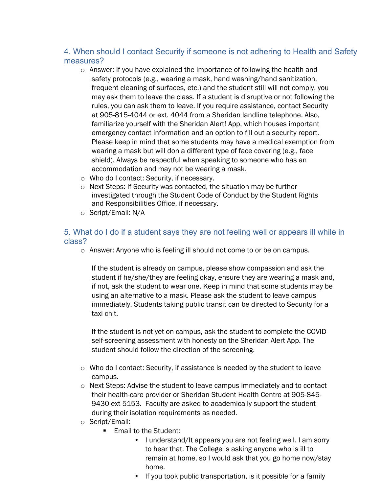## <span id="page-4-0"></span>4. When should I contact Security if someone is not adhering to Health and Safety measures?

- $\circ$  Answer: If you have explained the importance of following the health and safety protocols (e.g., wearing a mask, hand washing/hand sanitization, frequent cleaning of surfaces, etc.) and the student still will not comply, you may ask them to leave the class. If a student is disruptive or not following the rules, you can ask them to leave. If you require assistance, contact Security at 905-815-4044 or ext. 4044 from a Sheridan landline telephone. Also, familiarize yourself with the Sheridan Alert! App, which houses important emergency contact information and an option to fill out a security report. Please keep in mind that some students may have a medical exemption from wearing a mask but will don a different type of face covering (e.g., face shield). Always be respectful when speaking to someone who has an accommodation and may not be wearing a mask.
- o Who do I contact: Security, if necessary.
- o Next Steps: If Security was contacted, the situation may be further investigated through the Student Code of Conduct by the Student Rights and Responsibilities Office, if necessary.
- o Script/Email: N/A

#### <span id="page-4-1"></span>5. What do I do if a student says they are not feeling well or appears ill while in class?

o Answer: Anyone who is feeling ill should not come to or be on campus.

If the student is already on campus, please show compassion and ask the student if he/she/they are feeling okay, ensure they are wearing a mask and, if not, ask the student to wear one. Keep in mind that some students may be using an alternative to a mask. Please ask the student to leave campus immediately. Students taking public transit can be directed to Security for a taxi chit.

If the student is not yet on campus, ask the student to complete the COVID self-screening assessment with honesty on the Sheridan Alert App. The student should follow the direction of the screening.

- $\circ$  Who do I contact: Security, if assistance is needed by the student to leave campus.
- o Next Steps: Advise the student to leave campus immediately and to contact their health-care provider or Sheridan Student Health Centre at 905-845- 9430 ext 5153. Faculty are asked to academically support the student during their isolation requirements as needed.
- o Script/Email:
	- Email to the Student:
		- I understand/It appears you are not feeling well. I am sorry to hear that. The College is asking anyone who is ill to remain at home, so I would ask that you go home now/stay home.
		- If you took public transportation, is it possible for a family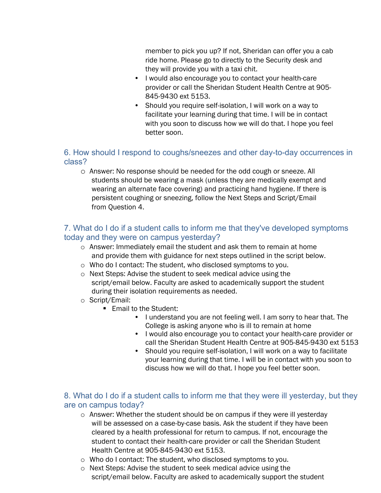member to pick you up? If not, Sheridan can offer you a cab ride home. Please go to directly to the Security desk and they will provide you with a taxi chit.

- I would also encourage you to contact your health-care provider or call the Sheridan Student Health Centre at 905- 845-9430 ext 5153.
- Should you require self-isolation, I will work on a way to facilitate your learning during that time. I will be in contact with you soon to discuss how we will do that. I hope you feel better soon.

### <span id="page-5-0"></span>6. How should I respond to coughs/sneezes and other day-to-day occurrences in class?

o Answer: No response should be needed for the odd cough or sneeze. All students should be wearing a mask (unless they are medically exempt and wearing an alternate face covering) and practicing hand hygiene. If there is persistent coughing or sneezing, follow the Next Steps and Script/Email from Question 4.

## <span id="page-5-1"></span>7. What do I do if a student calls to inform me that they've developed symptoms today and they were on campus yesterday?

- o Answer: Immediately email the student and ask them to remain at home and provide them with guidance for next steps outlined in the script below.
- o Who do I contact: The student, who disclosed symptoms to you.
- o Next Steps: Advise the student to seek medical advice using the script/email below. Faculty are asked to academically support the student during their isolation requirements as needed.
- o Script/Email:
	- **Email to the Student:** 
		- I understand you are not feeling well. I am sorry to hear that. The College is asking anyone who is ill to remain at home
		- I would also encourage you to contact your health-care provider or call the Sheridan Student Health Centre at 905-845-9430 ext 5153
		- Should you require self-isolation, I will work on a way to facilitate your learning during that time. I will be in contact with you soon to discuss how we will do that. I hope you feel better soon.

## <span id="page-5-2"></span>8. What do I do if a student calls to inform me that they were ill yesterday, but they are on campus today?

- $\circ$  Answer: Whether the student should be on campus if they were ill yesterday will be assessed on a case-by-case basis. Ask the student if they have been cleared by a health professional for return to campus. If not, encourage the student to contact their health-care provider or call the Sheridan Student Health Centre at 905-845-9430 ext 5153.
- o Who do I contact: The student, who disclosed symptoms to you.
- o Next Steps: Advise the student to seek medical advice using the script/email below. Faculty are asked to academically support the student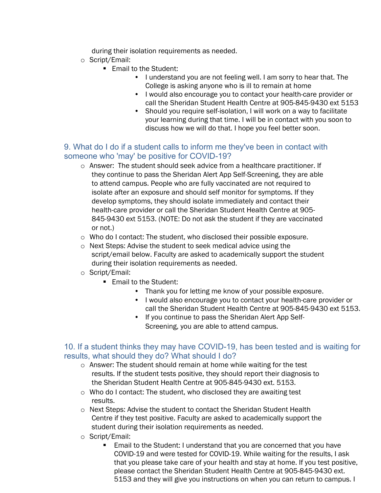during their isolation requirements as needed.

- o Script/Email:
	- **Email to the Student:** 
		- I understand you are not feeling well. I am sorry to hear that. The College is asking anyone who is ill to remain at home
		- I would also encourage you to contact your health-care provider or call the Sheridan Student Health Centre at 905-845-9430 ext 5153
		- Should you require self-isolation, I will work on a way to facilitate your learning during that time. I will be in contact with you soon to discuss how we will do that. I hope you feel better soon.

## <span id="page-6-0"></span>9. What do I do if a student calls to inform me they've been in contact with someone who 'may' be positive for COVID-19?

- o Answer: The student should seek advice from a healthcare practitioner. If they continue to pass the Sheridan Alert App Self-Screening, they are able to attend campus. People who are fully vaccinated are not required to isolate after an exposure and should self monitor for symptoms. If they develop symptoms, they should isolate immediately and contact their health-care provider or call the Sheridan Student Health Centre at 905- 845-9430 ext 5153. (NOTE: Do not ask the student if they are vaccinated or not.)
- o Who do I contact: The student, who disclosed their possible exposure.
- o Next Steps: Advise the student to seek medical advice using the script/email below. Faculty are asked to academically support the student during their isolation requirements as needed.
- o Script/Email:
	- **Email to the Student:** 
		- Thank you for letting me know of your possible exposure.
		- I would also encourage you to contact your health-care provider or call the Sheridan Student Health Centre at 905-845-9430 ext 5153.
		- If you continue to pass the Sheridan Alert App Self-Screening, you are able to attend campus.

## <span id="page-6-1"></span>10. If a student thinks they may have COVID-19, has been tested and is waiting for results, what should they do? What should I do?

- o Answer: The student should remain at home while waiting for the test results. If the student tests positive, they should report their diagnosis to the Sheridan Student Health Centre at 905-845-9430 ext. 5153.
- o Who do I contact: The student, who disclosed they are awaiting test results.
- o Next Steps: Advise the student to contact the Sheridan Student Health Centre if they test positive. Faculty are asked to academically support the student during their isolation requirements as needed.
- o Script/Email:
	- Email to the Student: I understand that you are concerned that you have COVID-19 and were tested for COVID-19. While waiting for the results, I ask that you please take care of your health and stay at home. If you test positive, please contact the Sheridan Student Health Centre at 905-845-9430 ext. 5153 and they will give you instructions on when you can return to campus. I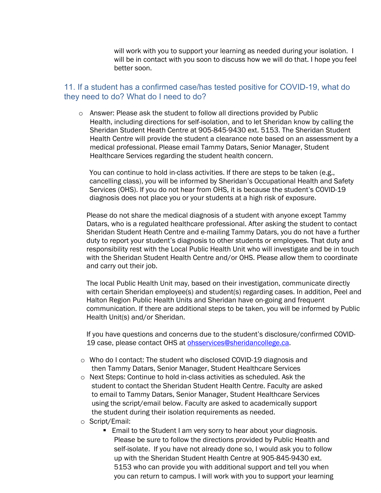will work with you to support your learning as needed during your isolation. I will be in contact with you soon to discuss how we will do that. I hope you feel better soon.

#### <span id="page-7-0"></span>11. If a student has a confirmed case/has tested positive for COVID-19, what do they need to do? What do I need to do?

o Answer: Please ask the student to follow all directions provided by Public Health, [including directions for self-isolation](https://www.ontario.ca/page/2019-novel-coronavirus#section-10), and to let Sheridan know by calling the Sheridan Student Heath Centre at 905-845-9430 ext. 5153. The Sheridan Student Health Centre will provide the student a clearance note based on an assessment by a medical professional. Please email Tammy Datars, Senior Manager, Student Healthcare Services regarding the student health concern.

You can continue to hold in-class activities. If there are steps to be taken (e.g., cancelling class), you will be informed by Sheridan's Occupational Health and Safety Services (OHS). If you do not hear from OHS, it is because the student's COVID-19 diagnosis does not place you or your students at a high risk of exposure.

Please do not share the medical diagnosis of a student with anyone except Tammy Datars, who is a regulated healthcare professional. After asking the student to contact Sheridan Student Heath Centre and e-mailing Tammy Datars, you do not have a further duty to report your student's diagnosis to other students or employees. That duty and responsibility rest with the Local Public Health Unit who will investigate and be in touch with the Sheridan Student Health Centre and/or OHS. Please allow them to coordinate and carry out their job.

The local Public Health Unit may, based on their investigation, communicate directly with certain Sheridan employee(s) and student(s) regarding cases. In addition, Peel and Halton Region Public Health Units and Sheridan have on-going and frequent communication. If there are additional steps to be taken, you will be informed by Public Health Unit(s) and/or Sheridan.

If you have questions and concerns due to the student's disclosure/confirmed COVID-19 case, please contact OHS at [ohsservices@sheridancollege.ca.](mailto:ohsservices@sheridancollege.ca)

- o Who do I contact: The student who disclosed COVID-19 diagnosis and then Tammy Datars, Senior Manager, Student Healthcare Services
- o Next Steps: Continue to hold in-class activities as scheduled. Ask the student to contact the Sheridan Student Health Centre. Faculty are asked to email to Tammy Datars, Senior Manager, Student Healthcare Services using the script/email below. Faculty are asked to academically support the student during their isolation requirements as needed.
- o Script/Email:
	- **Email to the Student I am very sorry to hear about your diagnosis.** Please be sure to follow the directions provided by Public Health and self-isolate. If you have not already done so, I would ask you to follow up with the Sheridan Student Health Centre at 905-845-9430 ext. 5153 who can provide you with additional support and tell you when you can return to campus. I will work with you to support your learning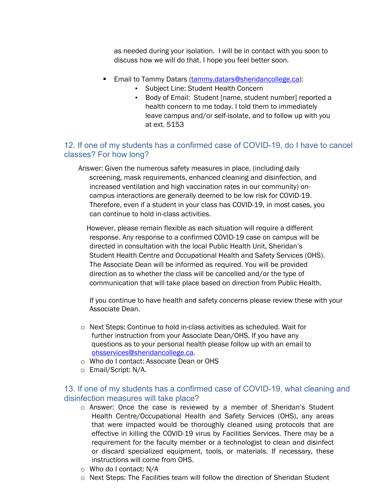as needed during your isolation. I will be in contact with you soon to discuss how we will do that. I hope you feel better soon.

- **Email to Tammy Datars [\(tammy.datars@sheridancollege.ca\)](mailto:tammy.datars@sheridancollege.ca):** 
	- Subject Line: Student Health Concern
	- Body of Email: Student [name, student number] reported a health concern to me today. I told them to immediately leave campus and/or self-isolate, and to follow up with you at ext. 5153

### <span id="page-8-0"></span>12. If one of my students has a confirmed case of COVID-19, do I have to cancel classes? For how long?

Answer: Given the numerous safety measures in place, (including daily screening, mask requirements, enhanced cleaning and disinfection, and increased ventilation and high vaccination rates in our community) oncampus interactions are generally deemed to be low risk for COVID-19. Therefore, even if a student in your class has COVID-19, in most cases, you can continue to hold in-class activities.

However, please remain flexible as each situation will require a different response. Any response to a confirmed COVID-19 case on campus will be directed in consultation with the local Public Health Unit, Sheridan's Student Health Centre and Occupational Health and Safety Services (OHS). The Associate Dean will be informed as required. You will be provided direction as to whether the class will be cancelled and/or the type of communication that will take place based on direction from Public Health.

If you continue to have health and safety concerns please review these with your Associate Dean.

- o Next Steps: Continue to hold in-class activities as scheduled. Wait for further instruction from your Associate Dean/OHS. If you have any questions as to your personal health please follow up with an email to [ohsservices@sheridancollege.ca.](mailto:ohsservices@sheridancollege.ca)
- o Who do I contact: Associate Dean or OHS
- o Email/Script: N/A.

#### <span id="page-8-1"></span>13. If one of my students has a confirmed case of COVID-19, what cleaning and disinfection measures will take place?

- o Answer: Once the case is reviewed by a member of Sheridan's Student Health Centre/Occupational Health and Safety Services (OHS), any areas that were impacted would be thoroughly cleaned using protocols that are effective in killing the COVID-19 virus by Facilities Services. There may be a requirement for the faculty member or a technologist to clean and disinfect or discard specialized equipment, tools, or materials. If necessary, these instructions will come from OHS.
- o Who do I contact: N/A
- o Next Steps: The Facilities team will follow the direction of Sheridan Student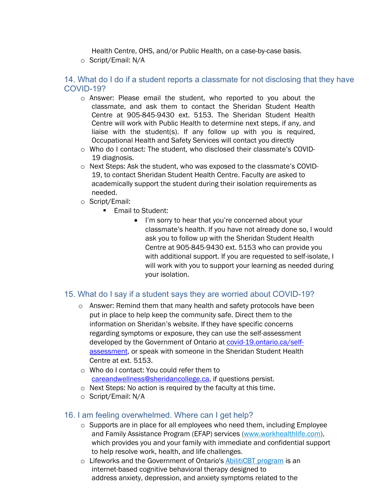Health Centre, OHS, and/or Public Health, on a case-by-case basis.

o Script/Email: N/A

### <span id="page-9-0"></span>14. What do I do if a student reports a classmate for not disclosing that they have COVID-19?

- o Answer: Please email the student, who reported to you about the classmate, and ask them to contact the Sheridan Student Health Centre at 905-845-9430 ext. 5153. The Sheridan Student Health Centre will work with Public Health to determine next steps, if any, and liaise with the student(s). If any follow up with you is required, Occupational Health and Safety Services will contact you directly
- o Who do I contact: The student, who disclosed their classmate's COVID-19 diagnosis.
- o Next Steps: Ask the student, who was exposed to the classmate's COVID-19, to contact Sheridan Student Health Centre. Faculty are asked to academically support the student during their isolation requirements as needed.
- o Script/Email:
	- **Email to Student:** 
		- I'm sorry to hear that you're concerned about your classmate's health. If you have not already done so, I would ask you to follow up with the Sheridan Student Health Centre at 905-845-9430 ext. 5153 who can provide you with additional support. If you are requested to self-isolate, I will work with you to support your learning as needed during your isolation.

#### <span id="page-9-1"></span>15. What do I say if a student says they are worried about COVID-19?

- $\circ$  Answer: Remind them that many health and safety protocols have been put in place to help keep the community safe. Direct them to the information on Sheridan's website. If they have specific concerns regarding symptoms or exposure, they can use the self-assessment developed by the Government of Ontario at [covid-19.ontario.ca/self](https://covid-19.ontario.ca/self-assessment/)[assessment,](https://covid-19.ontario.ca/self-assessment/) or speak with someone in the Sheridan Student Health Centre at ext. 5153.
- o Who do I contact: You could refer them to [careandwellness@sheridancollege.ca,](mailto:careandwellness@sheridancollege.ca) if questions persist.
- o Next Steps: No action is required by the faculty at this time.
- o Script/Email: N/A

#### <span id="page-9-2"></span>16. I am feeling overwhelmed. Where can I get help?

- o Supports are in place for all employees who need them, including Employee and Family Assistance Program (EFAP) services [\(www.workhealthlife.com\)](http://www.workhealthlife.com/), which provides you and your family with immediate and confidential support to help resolve work, health, and life challenges.
- o Lifeworks and the Government of Ontario's [AbilitiCBT program](https://ontario.abiliticbt.com/home) is an internet-based cognitive behavioral therapy designed to address anxiety, depression, and anxiety symptoms related to the